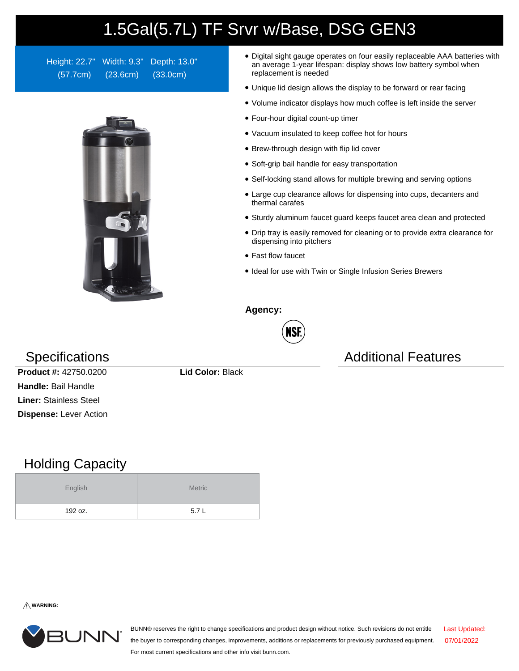## 1.5Gal(5.7L) TF Srvr w/Base, DSG GEN3

Height: 22.7" Width: 9.3" Depth: 13.0" (57.7cm) (23.6cm) (33.0cm)



- Digital sight gauge operates on four easily replaceable AAA batteries with an average 1-year lifespan: display shows low battery symbol when replacement is needed
- Unique lid design allows the display to be forward or rear facing
- Volume indicator displays how much coffee is left inside the server
- Four-hour digital count-up timer
- Vacuum insulated to keep coffee hot for hours
- Brew-through design with flip lid cover
- Soft-grip bail handle for easy transportation
- Self-locking stand allows for multiple brewing and serving options
- Large cup clearance allows for dispensing into cups, decanters and thermal carafes
- Sturdy aluminum faucet guard keeps faucet area clean and protected
- Drip tray is easily removed for cleaning or to provide extra clearance for dispensing into pitchers
- Fast flow faucet
- Ideal for use with Twin or Single Infusion Series Brewers

**Agency:**



Specifications **Additional Features** Additional Features

**Product #:** 42750.0200 **Lid Color:** Black **Handle:** Bail Handle **Liner:** Stainless Steel **Dispense:** Lever Action

## Holding Capacity

| English | <b>Metric</b> |  |  |  |
|---------|---------------|--|--|--|
| 192 oz. | 5.7L          |  |  |  |

**WARNING:**



BUNN® reserves the right to change specifications and product design without notice. Such revisions do not entitle the buyer to corresponding changes, improvements, additions or replacements for previously purchased equipment. For most current specifications and other info visit bunn.com. Last Updated: 07/01/2022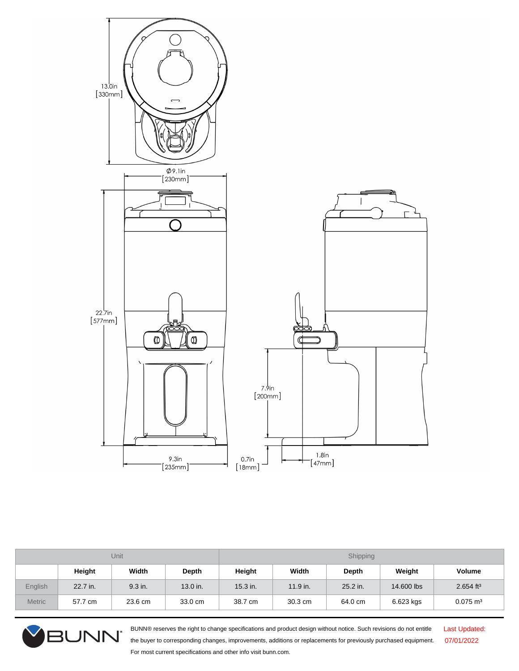

| Unit          |          |         | Shipping |            |            |          |            |                         |
|---------------|----------|---------|----------|------------|------------|----------|------------|-------------------------|
|               | Height   | Width   | Depth    | Height     | Width      | Depth    | Weight     | <b>Volume</b>           |
| English       | 22.7 in. | 9.3 in. | 13.0 in. | $15.3$ in. | $11.9$ in. | 25.2 in. | 14,600 lbs | $2.654$ ft <sup>3</sup> |
| <b>Metric</b> | 57.7 cm  | 23.6 cm | 33.0 cm  | 38.7 cm    | 30.3 cm    | 64.0 cm  | 6.623 kgs  | $0.075$ m <sup>3</sup>  |



BUNN® reserves the right to change specifications and product design without notice. Such revisions do not entitle the buyer to corresponding changes, improvements, additions or replacements for previously purchased equipment. For most current specifications and other info visit bunn.com.

Last Updated: 07/01/2022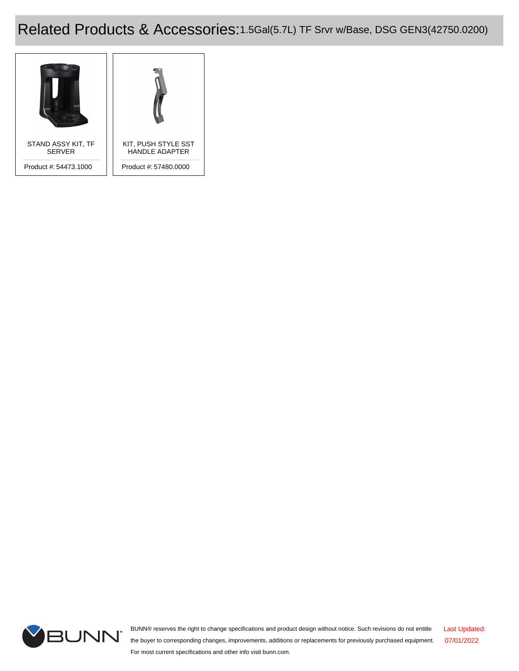## Related Products & Accessories:1.5Gal(5.7L) TF Srvr w/Base, DSG GEN3(42750.0200)





BUNN® reserves the right to change specifications and product design without notice. Such revisions do not entitle the buyer to corresponding changes, improvements, additions or replacements for previously purchased equipment. For most current specifications and other info visit bunn.com. Last Updated: 07/01/2022